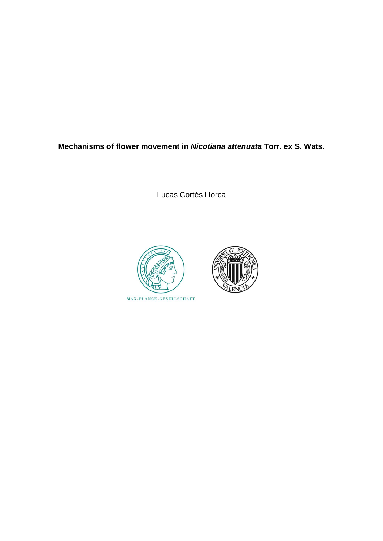**Mechanisms of flower movement in** *Nicotiana attenuata* **Torr. ex S. Wats.**

Lucas Cortés Llorca



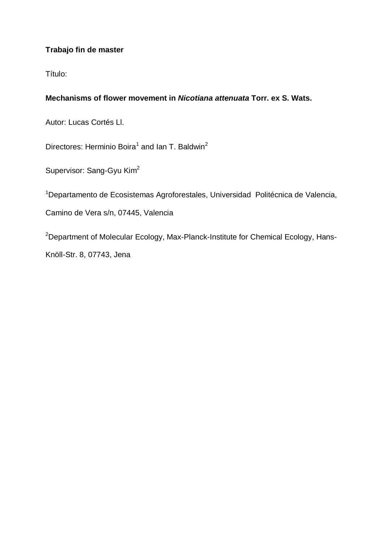# **Trabajo fin de master**

Título:

# **Mechanisms of flower movement in** *Nicotiana attenuata* **Torr. ex S. Wats.**

Autor: Lucas Cortés Ll.

Directores: Herminio Boira<sup>1</sup> and Ian T. Baldwin<sup>2</sup>

Supervisor: Sang-Gyu Kim<sup>2</sup>

<sup>1</sup>Departamento de Ecosistemas Agroforestales, Universidad Politécnica de Valencia,

Camino de Vera s/n, 07445, Valencia

<sup>2</sup>Department of Molecular Ecology, Max-Planck-Institute for Chemical Ecology, Hans-Knöll-Str. 8, 07743, Jena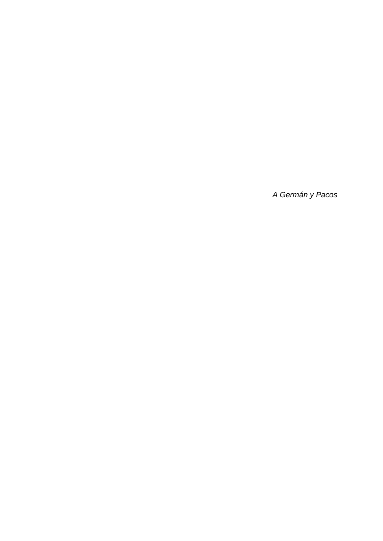*A Germán y Pacos*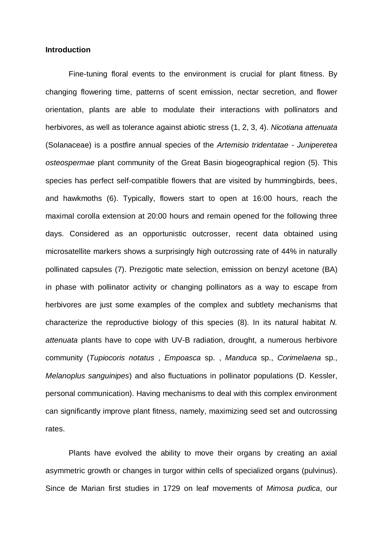### **Introduction**

Fine-tuning floral events to the environment is crucial for plant fitness. By changing flowering time, patterns of scent emission, nectar secretion, and flower orientation, plants are able to modulate their interactions with pollinators and herbivores, as well as tolerance against abiotic stress (1, 2, 3, 4). *Nicotiana attenuata*  (Solanaceae) is a postfire annual species of the *Artemisio tridentatae - Juniperetea osteospermae* plant community of the Great Basin biogeographical region (5). This species has perfect self-compatible flowers that are visited by hummingbirds, bees, and hawkmoths (6). Typically, flowers start to open at 16:00 hours, reach the maximal corolla extension at 20:00 hours and remain opened for the following three days. Considered as an opportunistic outcrosser, recent data obtained using microsatellite markers shows a surprisingly high outcrossing rate of 44% in naturally pollinated capsules (7). Prezigotic mate selection, emission on benzyl acetone (BA) in phase with pollinator activity or changing pollinators as a way to escape from herbivores are just some examples of the complex and subtlety mechanisms that characterize the reproductive biology of this species (8). In its natural habitat *N. attenuata* plants have to cope with UV-B radiation, drought, a numerous herbivore community (*Tupiocoris notatus* , *Empoasca* sp. , *Manduca* sp., *Corimelaena* sp., *Melanoplus sanguinipes*) and also fluctuations in pollinator populations (D. Kessler, personal communication). Having mechanisms to deal with this complex environment can significantly improve plant fitness, namely, maximizing seed set and outcrossing rates.

Plants have evolved the ability to move their organs by creating an axial asymmetric growth or changes in turgor within cells of specialized organs (pulvinus). Since de Marian first studies in 1729 on leaf movements of *Mimosa pudica*, our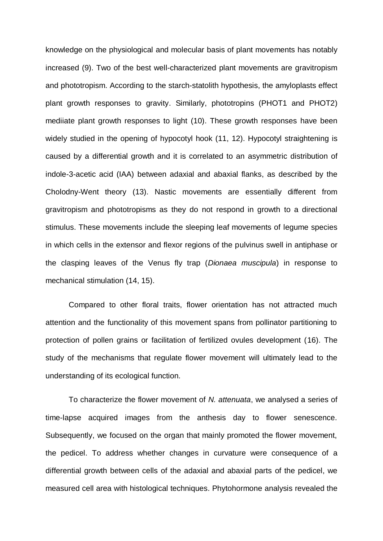knowledge on the physiological and molecular basis of plant movements has notably increased (9). Two of the best well-characterized plant movements are gravitropism and phototropism. According to the starch-statolith hypothesis, the amyloplasts effect plant growth responses to gravity. Similarly, phototropins (PHOT1 and PHOT2) mediiate plant growth responses to light (10). These growth responses have been widely studied in the opening of hypocotyl hook (11, 12). Hypocotyl straightening is caused by a differential growth and it is correlated to an asymmetric distribution of indole-3-acetic acid (IAA) between adaxial and abaxial flanks, as described by the Cholodny-Went theory (13). Nastic movements are essentially different from gravitropism and phototropisms as they do not respond in growth to a directional stimulus. These movements include the sleeping leaf movements of legume species in which cells in the extensor and flexor regions of the pulvinus swell in antiphase or the clasping leaves of the Venus fly trap (*Dionaea muscipula*) in response to mechanical stimulation (14, 15).

Compared to other floral traits, flower orientation has not attracted much attention and the functionality of this movement spans from pollinator partitioning to protection of pollen grains or facilitation of fertilized ovules development (16). The study of the mechanisms that regulate flower movement will ultimately lead to the understanding of its ecological function.

To characterize the flower movement of *N. attenuata*, we analysed a series of time-lapse acquired images from the anthesis day to flower senescence. Subsequently, we focused on the organ that mainly promoted the flower movement, the pedicel. To address whether changes in curvature were consequence of a differential growth between cells of the adaxial and abaxial parts of the pedicel, we measured cell area with histological techniques. Phytohormone analysis revealed the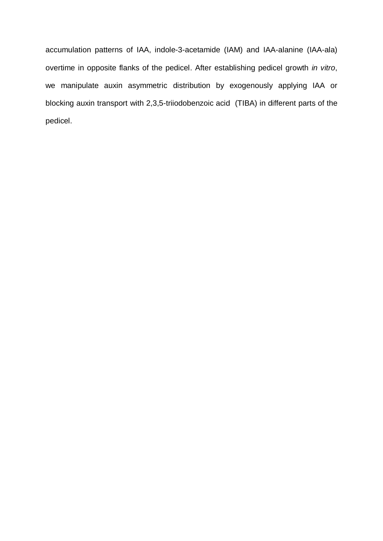accumulation patterns of IAA, indole-3-acetamide (IAM) and IAA-alanine (IAA-ala) overtime in opposite flanks of the pedicel. After establishing pedicel growth *in vitro*, we manipulate auxin asymmetric distribution by exogenously applying IAA or blocking auxin transport with 2,3,5-triiodobenzoic acid (TIBA) in different parts of the pedicel.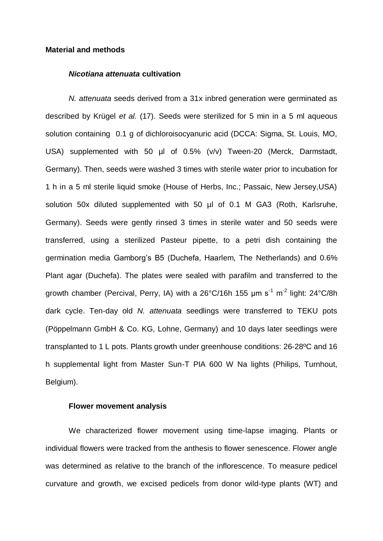### **Material and methods**

#### *Nicotiana attenuata* **cultivation**

*N. attenuata* seeds derived from a 31x inbred generation were germinated as described by Krügel *et al.* (17). Seeds were sterilized for 5 min in a 5 ml aqueous solution containing 0.1 g of dichloroisocyanuric acid (DCCA: Sigma, St. Louis, MO, USA) supplemented with 50 µl of 0.5% (v/v) Tween-20 (Merck, Darmstadt, Germany). Then, seeds were washed 3 times with sterile water prior to incubation for 1 h in a 5 ml sterile liquid smoke (House of Herbs, Inc.; Passaic, New Jersey,USA) solution 50x diluted supplemented with 50 µl of 0.1 M GA3 (Roth, Karlsruhe, Germany). Seeds were gently rinsed 3 times in sterile water and 50 seeds were transferred, using a sterilized Pasteur pipette, to a petri dish containing the germination media Gamborg's B5 (Duchefa, Haarlem, The Netherlands) and 0.6% Plant agar (Duchefa). The plates were sealed with parafilm and transferred to the growth chamber (Percival, Perry, IA) with a 26°C/16h 155 μm s<sup>-1</sup> m<sup>-2</sup> light: 24°C/8h dark cycle. Ten-day old *N. attenuata* seedlings were transferred to TEKU pots (Pöppelmann GmbH & Co. KG, Lohne, Germany) and 10 days later seedlings were transplanted to 1 L pots. Plants growth under greenhouse conditions: 26-28ºC and 16 h supplemental light from Master Sun-T PIA 600 W Na lights (Philips, Turnhout, Belgium).

## **Flower movement analysis**

We characterized flower movement using time-lapse imaging. Plants or individual flowers were tracked from the anthesis to flower senescence. Flower angle was determined as relative to the branch of the inflorescence. To measure pedicel curvature and growth, we excised pedicels from donor wild-type plants (WT) and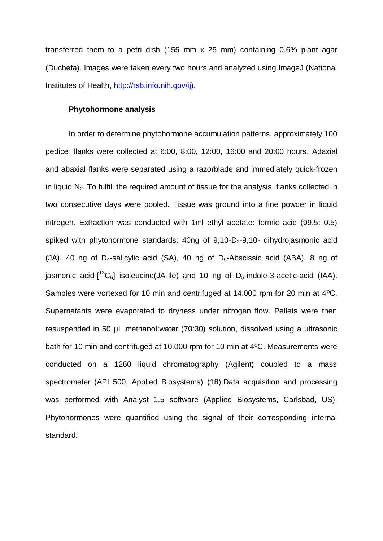transferred them to a petri dish (155 mm x 25 mm) containing 0.6% plant agar (Duchefa). Images were taken every two hours and analyzed using ImageJ (National Institutes of Health, [http://rsb.info.nih.gov/ij\)](http://rsb.info.nih.gov/ij).

## **Phytohormone analysis**

In order to determine phytohormone accumulation patterns, approximately 100 pedicel flanks were collected at 6:00, 8:00, 12:00, 16:00 and 20:00 hours. Adaxial and abaxial flanks were separated using a razorblade and immediately quick-frozen in liquid  $N<sub>2</sub>$ . To fulfill the required amount of tissue for the analysis, flanks collected in two consecutive days were pooled. Tissue was ground into a fine powder in liquid nitrogen. Extraction was conducted with 1ml ethyl acetate: formic acid (99.5: 0.5) spiked with phytohormone standards:  $40<sub>ng</sub>$  of  $9<sub>1</sub>10-D<sub>2</sub>-9<sub>1</sub>10-$  dihydrojasmonic acid (JA), 40 ng of D<sub>4</sub>-salicylic acid (SA), 40 ng of D<sub>6</sub>-Abscissic acid (ABA), 8 ng of jasmonic acid-[<sup>13</sup>C<sub>6</sub>] isoleucine(JA-lle) and 10 ng of D<sub>5</sub>-indole-3-acetic-acid (IAA). Samples were vortexed for 10 min and centrifuged at 14.000 rpm for 20 min at 4ºC. Supernatants were evaporated to dryness under nitrogen flow. Pellets were then resuspended in 50 µL methanol:water (70:30) solution, dissolved using a ultrasonic bath for 10 min and centrifuged at 10.000 rpm for 10 min at 4ºC. Measurements were conducted on a 1260 liquid chromatography (Agilent) coupled to a mass spectrometer (API 500, Applied Biosystems) (18).Data acquisition and processing was performed with Analyst 1.5 software (Applied Biosystems, Carlsbad, US). Phytohormones were quantified using the signal of their corresponding internal standard.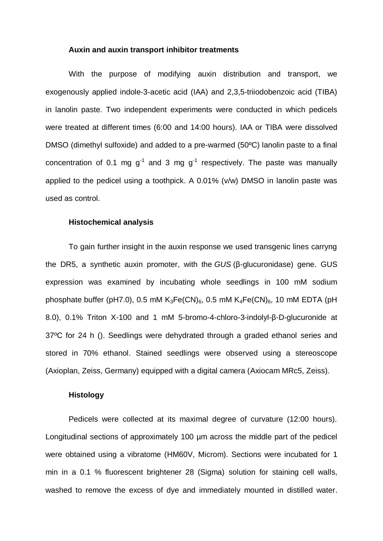#### **Auxin and auxin transport inhibitor treatments**

With the purpose of modifying auxin distribution and transport, we exogenously applied indole-3-acetic acid (IAA) and 2,3,5-triiodobenzoic acid (TIBA) in lanolin paste. Two independent experiments were conducted in which pedicels were treated at different times (6:00 and 14:00 hours). IAA or TIBA were dissolved DMSO (dimethyl sulfoxide) and added to a pre-warmed (50ºC) lanolin paste to a final concentration of 0.1 mg  $g^{-1}$  and 3 mg  $g^{-1}$  respectively. The paste was manually applied to the pedicel using a toothpick. A 0.01% (v/w) DMSO in lanolin paste was used as control.

### **Histochemical analysis**

To gain further insight in the auxin response we used transgenic lines carryng the DR5, a synthetic auxin promoter, with the *GUS* (β-glucuronidase) gene. GUS expression was examined by incubating whole seedlings in 100 mM sodium phosphate buffer (pH7.0), 0.5 mM  $K_3Fe(CN)_6$ , 0.5 mM  $K_4Fe(CN)_6$ , 10 mM EDTA (pH 8.0), 0.1% Triton X-100 and 1 mM 5-bromo-4-chloro-3-indolyl-β-D-glucuronide at 37ºC for 24 h (). Seedlings were dehydrated through a graded ethanol series and stored in 70% ethanol. Stained seedlings were observed using a stereoscope (Axioplan, Zeiss, Germany) equipped with a digital camera (Axiocam MRc5, Zeiss).

### **Histology**

Pedicels were collected at its maximal degree of curvature (12:00 hours). Longitudinal sections of approximately 100 µm across the middle part of the pedicel were obtained using a vibratome (HM60V, Microm). Sections were incubated for 1 min in a 0.1 % fluorescent brightener 28 (Sigma) solution for staining cell walls, washed to remove the excess of dye and immediately mounted in distilled water.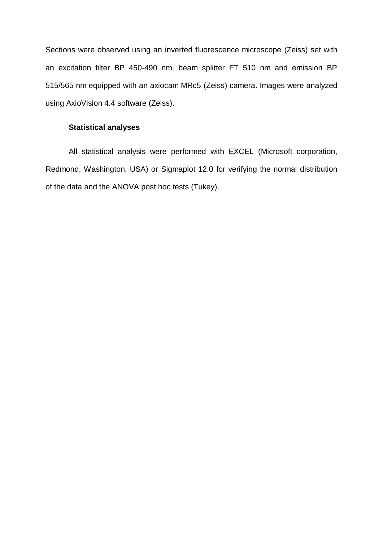Sections were observed using an inverted fluorescence microscope (Zeiss) set with an excitation filter BP 450-490 nm, beam splitter FT 510 nm and emission BP 515/565 nm equipped with an axiocam MRc5 (Zeiss) camera. Images were analyzed using AxioVision 4.4 software (Zeiss).

# **Statistical analyses**

All statistical analysis were performed with EXCEL (Microsoft corporation, Redmond, Washington, USA) or Sigmaplot 12.0 for verifying the normal distribution of the data and the ANOVA post hoc tests (Tukey).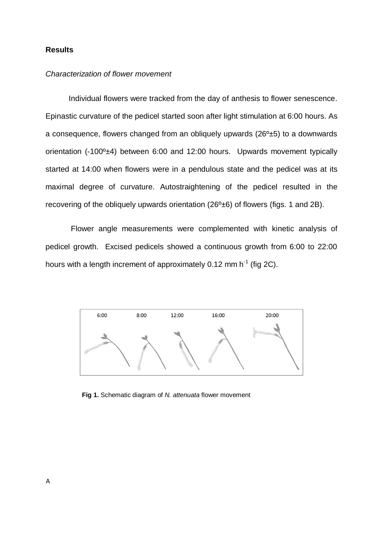## **Results**

### *Characterization of flower movement*

Individual flowers were tracked from the day of anthesis to flower senescence. Epinastic curvature of the pedicel started soon after light stimulation at 6:00 hours. As a consequence, flowers changed from an obliquely upwards  $(26<sup>o</sup>±5)$  to a downwards orientation (-100º±4) between 6:00 and 12:00 hours. Upwards movement typically started at 14:00 when flowers were in a pendulous state and the pedicel was at its maximal degree of curvature. Autostraightening of the pedicel resulted in the recovering of the obliquely upwards orientation (26<sup>o</sup>±6) of flowers (figs. 1 and 2B).

Flower angle measurements were complemented with kinetic analysis of pedicel growth. Excised pedicels showed a continuous growth from 6:00 to 22:00 hours with a length increment of approximately 0.12 mm h<sup>-1</sup> (fig 2C).



**Fig 1.** Schematic diagram of *N. attenuata* flower movement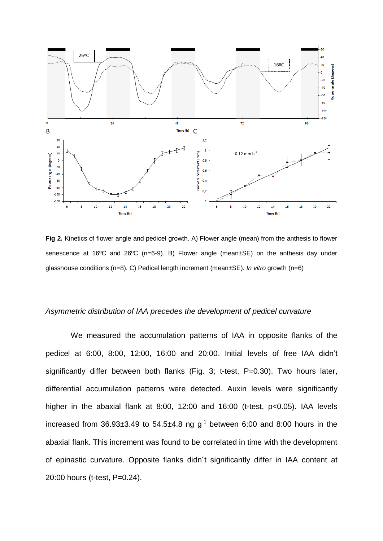

**Fig 2.** Kinetics of flower angle and pedicel growth. A) Flower angle (mean) from the anthesis to flower senescence at 16ºC and 26ºC (n=6-9). B) Flower angle (mean±SE) on the anthesis day under glasshouse conditions (n=8). C) Pedicel length increment (mean±SE). *In vitro* growth (n=6)

### *Asymmetric distribution of IAA precedes the development of pedicel curvature*

We measured the accumulation patterns of IAA in opposite flanks of the pedicel at 6:00, 8:00, 12:00, 16:00 and 20:00. Initial levels of free IAA didn't significantly differ between both flanks (Fig. 3; t-test, P=0.30). Two hours later, differential accumulation patterns were detected. Auxin levels were significantly higher in the abaxial flank at 8:00, 12:00 and 16:00 (t-test, p<0.05). IAA levels increased from  $36.93\pm3.49$  to  $54.5\pm4.8$  ng g<sup>-1</sup> between 6:00 and 8:00 hours in the abaxial flank. This increment was found to be correlated in time with the development of epinastic curvature. Opposite flanks didn´t significantly differ in IAA content at 20:00 hours (t-test, P=0.24).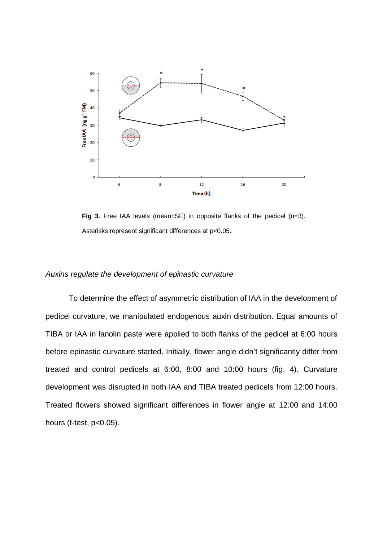

**Fig 3.** Free IAA levels (mean±SE) in opposite flanks of the pedicel (n=3). Asterisks represent significant differences at p<0.05.

## *Auxins regulate the development of epinastic curvature*

To determine the effect of asymmetric distribution of IAA in the development of pedicel curvature, we manipulated endogenous auxin distribution. Equal amounts of TIBA or IAA in lanolin paste were applied to both flanks of the pedicel at 6:00 hours before epinastic curvature started. Initially, flower angle didn't significantly differ from treated and control pedicels at 6:00, 8:00 and 10:00 hours (fig. 4). Curvature development was disrupted in both IAA and TIBA treated pedicels from 12:00 hours. Treated flowers showed significant differences in flower angle at 12:00 and 14:00 hours (t-test, p<0.05).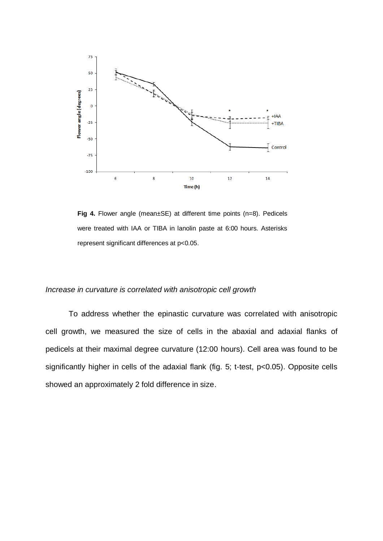

**Fig 4.** Flower angle (mean±SE) at different time points (n=8). Pedicels were treated with IAA or TIBA in lanolin paste at 6:00 hours. Asterisks represent significant differences at p<0.05.

## *Increase in curvature is correlated with anisotropic cell growth*

To address whether the epinastic curvature was correlated with anisotropic cell growth, we measured the size of cells in the abaxial and adaxial flanks of pedicels at their maximal degree curvature (12:00 hours). Cell area was found to be significantly higher in cells of the adaxial flank (fig. 5; t-test, p<0.05). Opposite cells showed an approximately 2 fold difference in size.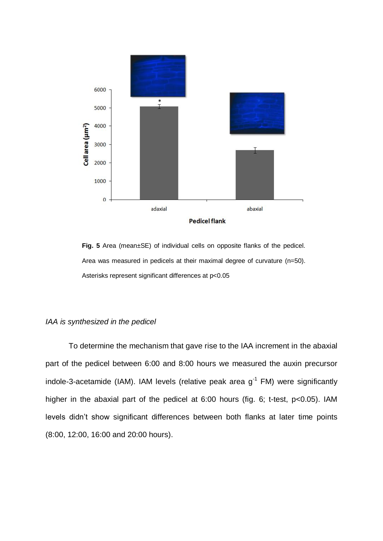

**Fig. 5** Area (mean±SE) of individual cells on opposite flanks of the pedicel. Area was measured in pedicels at their maximal degree of curvature (n=50). Asterisks represent significant differences at p<0.05

#### *IAA is synthesized in the pedicel*

To determine the mechanism that gave rise to the IAA increment in the abaxial part of the pedicel between 6:00 and 8:00 hours we measured the auxin precursor indole-3-acetamide (IAM). IAM levels (relative peak area  $g^{-1}$  FM) were significantly higher in the abaxial part of the pedicel at 6:00 hours (fig. 6; t-test, p<0.05). IAM levels didn't show significant differences between both flanks at later time points (8:00, 12:00, 16:00 and 20:00 hours).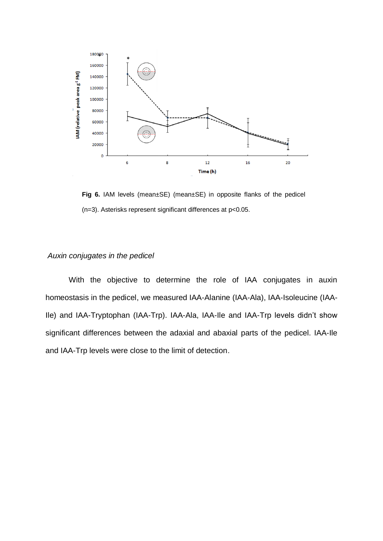

**Fig 6.** IAM levels (mean±SE) (mean±SE) in opposite flanks of the pedicel (n=3). Asterisks represent significant differences at p<0.05.

#### *Auxin conjugates in the pedicel*

With the objective to determine the role of IAA conjugates in auxin homeostasis in the pedicel, we measured IAA-Alanine (IAA-Ala), IAA-Isoleucine (IAA-Ile) and IAA-Tryptophan (IAA-Trp). IAA-Ala, IAA-Ile and IAA-Trp levels didn't show significant differences between the adaxial and abaxial parts of the pedicel. IAA-Ile and IAA-Trp levels were close to the limit of detection.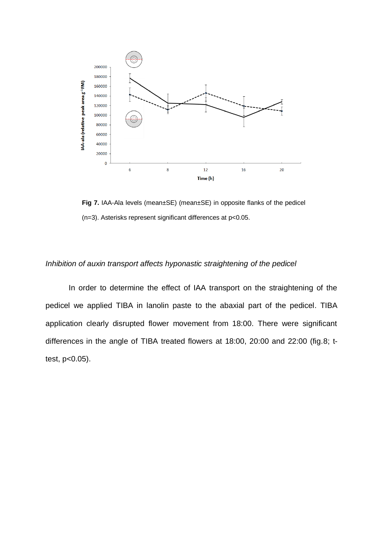

**Fig 7.** IAA-Ala levels (mean±SE) (mean±SE) in opposite flanks of the pedicel (n=3). Asterisks represent significant differences at p<0.05.

## *Inhibition of auxin transport affects hyponastic straightening of the pedicel*

In order to determine the effect of IAA transport on the straightening of the pedicel we applied TIBA in lanolin paste to the abaxial part of the pedicel. TIBA application clearly disrupted flower movement from 18:00. There were significant differences in the angle of TIBA treated flowers at 18:00, 20:00 and 22:00 (fig.8; ttest, p<0.05).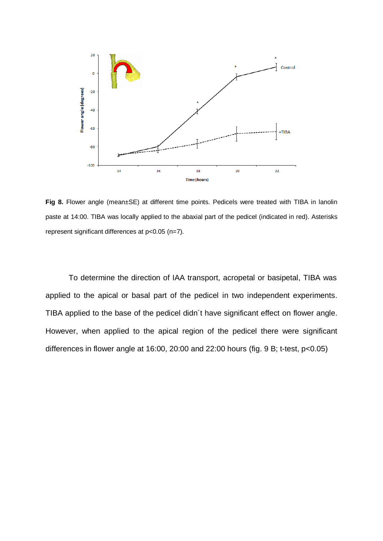

**Fig 8.** Flower angle (mean±SE) at different time points. Pedicels were treated with TIBA in lanolin paste at 14:00. TIBA was locally applied to the abaxial part of the pedicel (indicated in red). Asterisks represent significant differences at p<0.05 (n=7).

To determine the direction of IAA transport, acropetal or basipetal, TIBA was applied to the apical or basal part of the pedicel in two independent experiments. TIBA applied to the base of the pedicel didn´t have significant effect on flower angle. However, when applied to the apical region of the pedicel there were significant differences in flower angle at 16:00, 20:00 and 22:00 hours (fig. 9 B; t-test, p<0.05)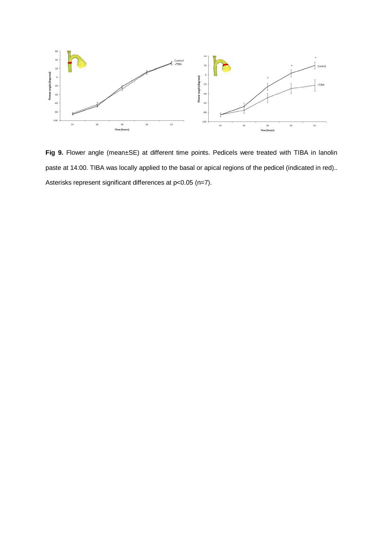

**Fig 9.** Flower angle (mean±SE) at different time points. Pedicels were treated with TIBA in lanolin paste at 14:00. TIBA was locally applied to the basal or apical regions of the pedicel (indicated in red).. Asterisks represent significant differences at p<0.05 (n=7).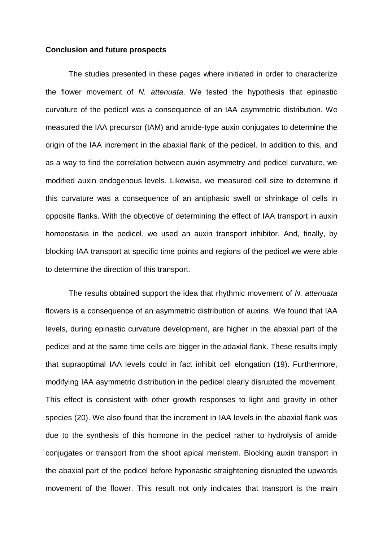#### **Conclusion and future prospects**

The studies presented in these pages where initiated in order to characterize the flower movement of *N. attenuata*. We tested the hypothesis that epinastic curvature of the pedicel was a consequence of an IAA asymmetric distribution. We measured the IAA precursor (IAM) and amide-type auxin conjugates to determine the origin of the IAA increment in the abaxial flank of the pedicel. In addition to this, and as a way to find the correlation between auxin asymmetry and pedicel curvature, we modified auxin endogenous levels. Likewise, we measured cell size to determine if this curvature was a consequence of an antiphasic swell or shrinkage of cells in opposite flanks. With the objective of determining the effect of IAA transport in auxin homeostasis in the pedicel, we used an auxin transport inhibitor. And, finally, by blocking IAA transport at specific time points and regions of the pedicel we were able to determine the direction of this transport.

The results obtained support the idea that rhythmic movement of *N. attenuata* flowers is a consequence of an asymmetric distribution of auxins. We found that IAA levels, during epinastic curvature development, are higher in the abaxial part of the pedicel and at the same time cells are bigger in the adaxial flank. These results imply that supraoptimal IAA levels could in fact inhibit cell elongation (19). Furthermore, modifying IAA asymmetric distribution in the pedicel clearly disrupted the movement. This effect is consistent with other growth responses to light and gravity in other species (20). We also found that the increment in IAA levels in the abaxial flank was due to the synthesis of this hormone in the pedicel rather to hydrolysis of amide conjugates or transport from the shoot apical meristem. Blocking auxin transport in the abaxial part of the pedicel before hyponastic straightening disrupted the upwards movement of the flower. This result not only indicates that transport is the main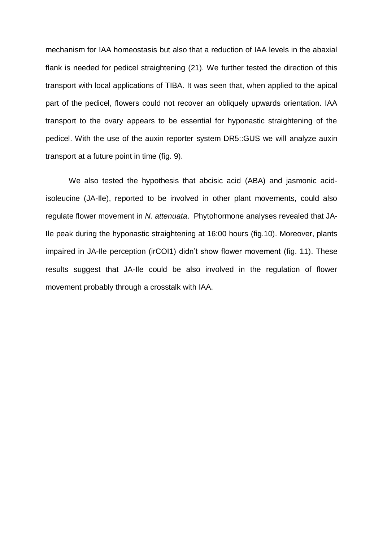mechanism for IAA homeostasis but also that a reduction of IAA levels in the abaxial flank is needed for pedicel straightening (21). We further tested the direction of this transport with local applications of TIBA. It was seen that, when applied to the apical part of the pedicel, flowers could not recover an obliquely upwards orientation. IAA transport to the ovary appears to be essential for hyponastic straightening of the pedicel. With the use of the auxin reporter system DR5::GUS we will analyze auxin transport at a future point in time (fig. 9).

We also tested the hypothesis that abcisic acid (ABA) and jasmonic acidisoleucine (JA-Ile), reported to be involved in other plant movements, could also regulate flower movement in *N. attenuata*. Phytohormone analyses revealed that JA-Ile peak during the hyponastic straightening at 16:00 hours (fig.10). Moreover, plants impaired in JA-Ile perception (irCOI1) didn't show flower movement (fig. 11). These results suggest that JA-Ile could be also involved in the regulation of flower movement probably through a crosstalk with IAA.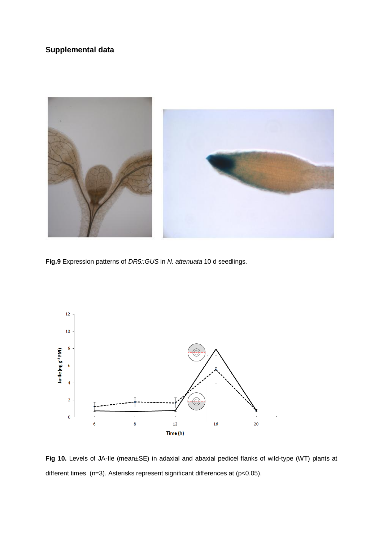# **Supplemental data**



**Fig.9** Expression patterns of *DR5::GUS* in *N. attenuata* 10 d seedlings.



**Fig 10.** Levels of JA-Ile (mean±SE) in adaxial and abaxial pedicel flanks of wild-type (WT) plants at different times (n=3). Asterisks represent significant differences at (p<0.05).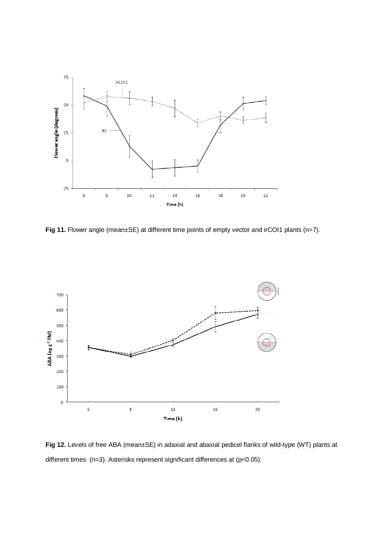

Fig 11. Flower angle (mean±SE) at different time points of empty vector and irCOI1 plants (n=7).



**Fig 12.** Levels of free ABA (mean±SE) in adaxial and abaxial pedicel flanks of wild-type (WT) plants at different times (n=3). Asterisks represent significant differences at (p<0.05).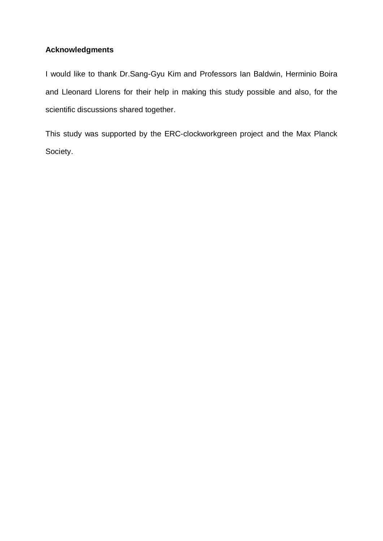# **Acknowledgments**

I would like to thank Dr.Sang-Gyu Kim and Professors Ian Baldwin, Herminio Boira and Lleonard Llorens for their help in making this study possible and also, for the scientific discussions shared together.

This study was supported by the ERC-clockworkgreen project and the Max Planck Society.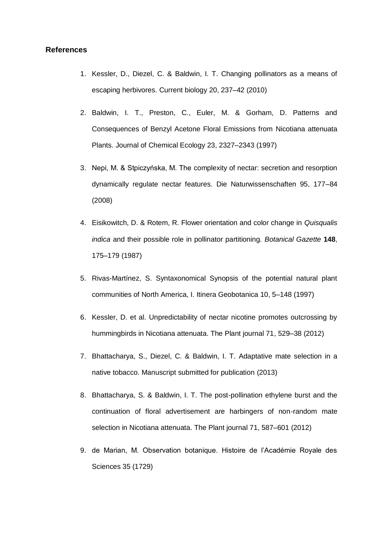#### **References**

- 1. Kessler, D., Diezel, C. & Baldwin, I. T. Changing pollinators as a means of escaping herbivores. Current biology 20, 237–42 (2010)
- 2. Baldwin, I. T., Preston, C., Euler, M. & Gorham, D. Patterns and Consequences of Benzyl Acetone Floral Emissions from Nicotiana attenuata Plants. Journal of Chemical Ecology 23, 2327–2343 (1997)
- 3. Nepi, M. & Stpiczyńska, M. The complexity of nectar: secretion and resorption dynamically regulate nectar features. Die Naturwissenschaften 95, 177–84 (2008)
- 4. Eisikowitch, D. & Rotem, R. Flower orientation and color change in *Quisqualis indica* and their possible role in pollinator partitioning. *Botanical Gazette* **148**, 175–179 (1987)
- 5. Rivas-Martínez, S. Syntaxonomical Synopsis of the potential natural plant communities of North America, I. Itinera Geobotanica 10, 5–148 (1997)
- 6. Kessler, D. et al. Unpredictability of nectar nicotine promotes outcrossing by hummingbirds in Nicotiana attenuata. The Plant journal 71, 529–38 (2012)
- 7. Bhattacharya, S., Diezel, C. & Baldwin, I. T. Adaptative mate selection in a native tobacco. Manuscript submitted for publication (2013)
- 8. Bhattacharya, S. & Baldwin, I. T. The post-pollination ethylene burst and the continuation of floral advertisement are harbingers of non-random mate selection in Nicotiana attenuata. The Plant journal 71, 587–601 (2012)
- 9. de Marian, M. Observation botanique. Histoire de l'Académie Royale des Sciences 35 (1729)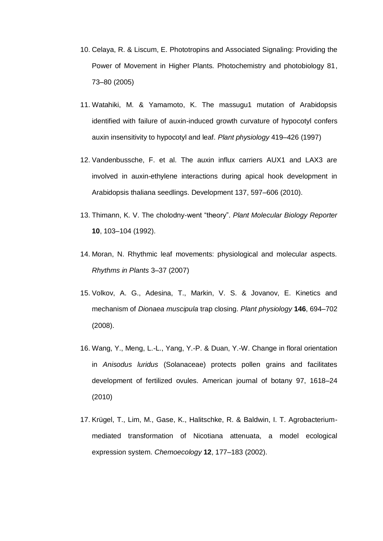- 10. Celaya, R. & Liscum, E. Phototropins and Associated Signaling: Providing the Power of Movement in Higher Plants. Photochemistry and photobiology 81, 73–80 (2005)
- 11. Watahiki, M. & Yamamoto, K. The massugu1 mutation of Arabidopsis identified with failure of auxin-induced growth curvature of hypocotyl confers auxin insensitivity to hypocotyl and leaf. *Plant physiology* 419–426 (1997)
- 12. Vandenbussche, F. et al. The auxin influx carriers AUX1 and LAX3 are involved in auxin-ethylene interactions during apical hook development in Arabidopsis thaliana seedlings. Development 137, 597–606 (2010).
- 13. Thimann, K. V. The cholodny-went "theory". *Plant Molecular Biology Reporter* **10**, 103–104 (1992).
- 14. Moran, N. Rhythmic leaf movements: physiological and molecular aspects. *Rhythms in Plants* 3–37 (2007)
- 15. Volkov, A. G., Adesina, T., Markin, V. S. & Jovanov, E. Kinetics and mechanism of *Dionaea muscipula* trap closing. *Plant physiology* **146**, 694–702 (2008).
- 16. Wang, Y., Meng, L.-L., Yang, Y.-P. & Duan, Y.-W. Change in floral orientation in *Anisodus luridus* (Solanaceae) protects pollen grains and facilitates development of fertilized ovules. American journal of botany 97, 1618–24 (2010)
- 17. Krügel, T., Lim, M., Gase, K., Halitschke, R. & Baldwin, I. T. Agrobacteriummediated transformation of Nicotiana attenuata, a model ecological expression system. *Chemoecology* **12**, 177–183 (2002).